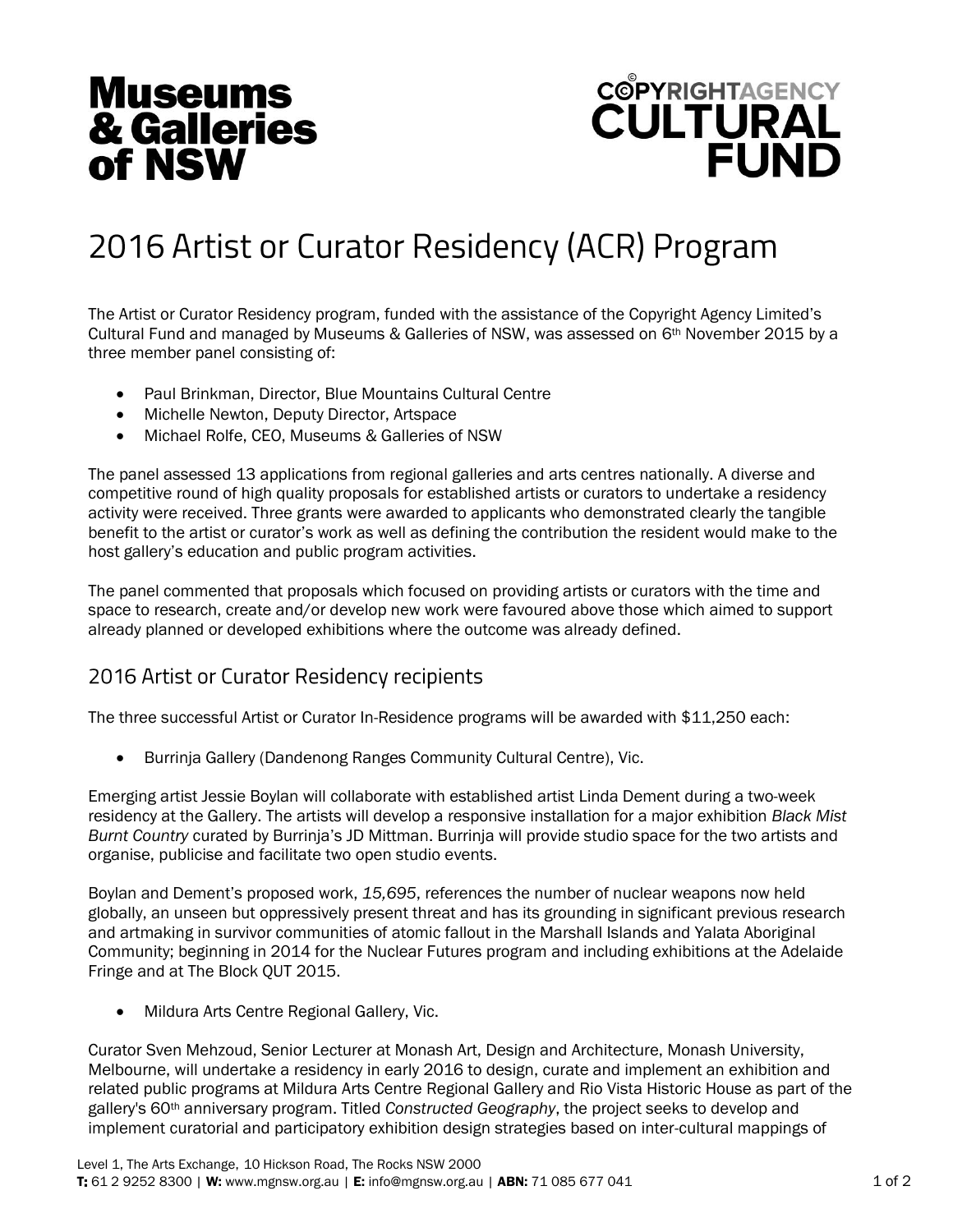## **Museums** & Galleries of NSW

## **COPYRIGHTAGENCY FUND**

## 2016 Artist or Curator Residency (ACR) Program

The Artist or Curator Residency program, funded with the assistance of the Copyright Agency Limited's Cultural Fund and managed by Museums & Galleries of NSW, was assessed on 6th November 2015 by a three member panel consisting of:

- Paul Brinkman, Director, Blue Mountains Cultural Centre
- Michelle Newton, Deputy Director, Artspace
- Michael Rolfe, CEO, Museums & Galleries of NSW

The panel assessed 13 applications from regional galleries and arts centres nationally. A diverse and competitive round of high quality proposals for established artists or curators to undertake a residency activity were received. Three grants were awarded to applicants who demonstrated clearly the tangible benefit to the artist or curator's work as well as defining the contribution the resident would make to the host gallery's education and public program activities.

The panel commented that proposals which focused on providing artists or curators with the time and space to research, create and/or develop new work were favoured above those which aimed to support already planned or developed exhibitions where the outcome was already defined.

## 2016 Artist or Curator Residency recipients

The three successful Artist or Curator In-Residence programs will be awarded with \$11,250 each:

Burrinja Gallery (Dandenong Ranges Community Cultural Centre), Vic.

Emerging artist Jessie Boylan will collaborate with established artist Linda Dement during a two-week residency at the Gallery. The artists will develop a responsive installation for a major exhibition *Black Mist Burnt Country* curated by Burrinja's JD Mittman. Burrinja will provide studio space for the two artists and organise, publicise and facilitate two open studio events.

Boylan and Dement's proposed work, *15,695*, references the number of nuclear weapons now held globally, an unseen but oppressively present threat and has its grounding in significant previous research and artmaking in survivor communities of atomic fallout in the Marshall Islands and Yalata Aboriginal Community; beginning in 2014 for the Nuclear Futures program and including exhibitions at the Adelaide Fringe and at The Block QUT 2015.

Mildura Arts Centre Regional Gallery, Vic.

Curator Sven Mehzoud, Senior Lecturer at Monash Art, Design and Architecture, Monash University, Melbourne, will undertake a residency in early 2016 to design, curate and implement an exhibition and related public programs at Mildura Arts Centre Regional Gallery and Rio Vista Historic House as part of the gallery's 60th anniversary program. Titled *Constructed Geography*, the project seeks to develop and implement curatorial and participatory exhibition design strategies based on inter-cultural mappings of